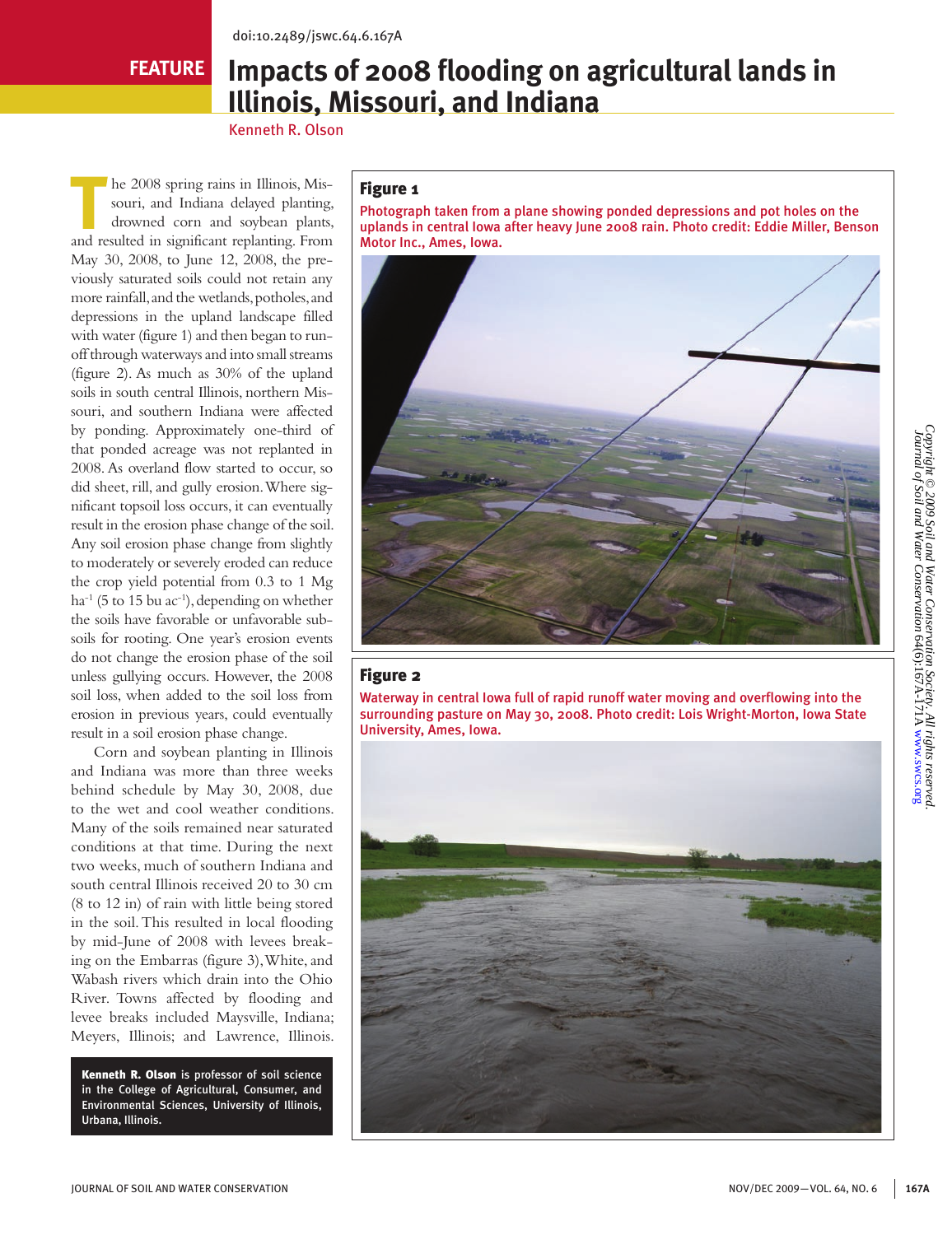# **FEATURE**

# **Impacts of 2008 flooding on agricultural lands in Illinois, Missouri, and Indiana**

Kenneth R. Olson

The 2008 spring rains in Illinois, Missouri, and Indiana delayed planting<br>drowned corn and soybean plants, souri, and Indiana delayed planting, drowned corn and soybean plants, and resulted in significant replanting. From May 30, 2008, to June 12, 2008, the previously saturated soils could not retain any more rainfall, and the wetlands, potholes, and depressions in the upland landscape filled with water (figure 1) and then began to runoff through waterways and into small streams (figure 2). As much as 30% of the upland soils in south central Illinois, northern Missouri, and southern Indiana were affected by ponding. Approximately one-third of that ponded acreage was not replanted in 2008. As overland flow started to occur, so did sheet, rill, and gully erosion. Where significant topsoil loss occurs, it can eventually result in the erosion phase change of the soil. Any soil erosion phase change from slightly to moderately or severely eroded can reduce the crop yield potential from 0.3 to 1 Mg ha<sup>-1</sup> (5 to 15 bu ac<sup>-1</sup>), depending on whether the soils have favorable or unfavorable subsoils for rooting. One year's erosion events do not change the erosion phase of the soil unless gullying occurs. However, the 2008 soil loss, when added to the soil loss from erosion in previous years, could eventually result in a soil erosion phase change.

 Corn and soybean planting in Illinois and Indiana was more than three weeks behind schedule by May 30, 2008, due to the wet and cool weather conditions. Many of the soils remained near saturated conditions at that time. During the next two weeks, much of southern Indiana and south central Illinois received 20 to 30 cm (8 to 12 in) of rain with little being stored in the soil. This resulted in local flooding by mid-June of 2008 with levees breaking on the Embarras (figure 3), White, and Wabash rivers which drain into the Ohio River. Towns affected by flooding and levee breaks included Maysville, Indiana; Meyers, Illinois; and Lawrence, Illinois.

Kenneth R. Olson is professor of soil science in the College of Agricultural, Consumer, and Environmental Sciences, University of Illinois, Urbana, Illinois.

# Figure 1

Photograph taken from a plane showing ponded depressions and pot holes on the uplands in central Iowa after heavy June 2008 rain. Photo credit: Eddie Miller, Benson Motor Inc., Ames, Iowa.



#### Figure 2

Waterway in central Iowa full of rapid runoff water moving and overflowing into the surrounding pasture on May 30, 2008. Photo credit: Lois Wright-Morton, Iowa State University, Ames, Iowa.

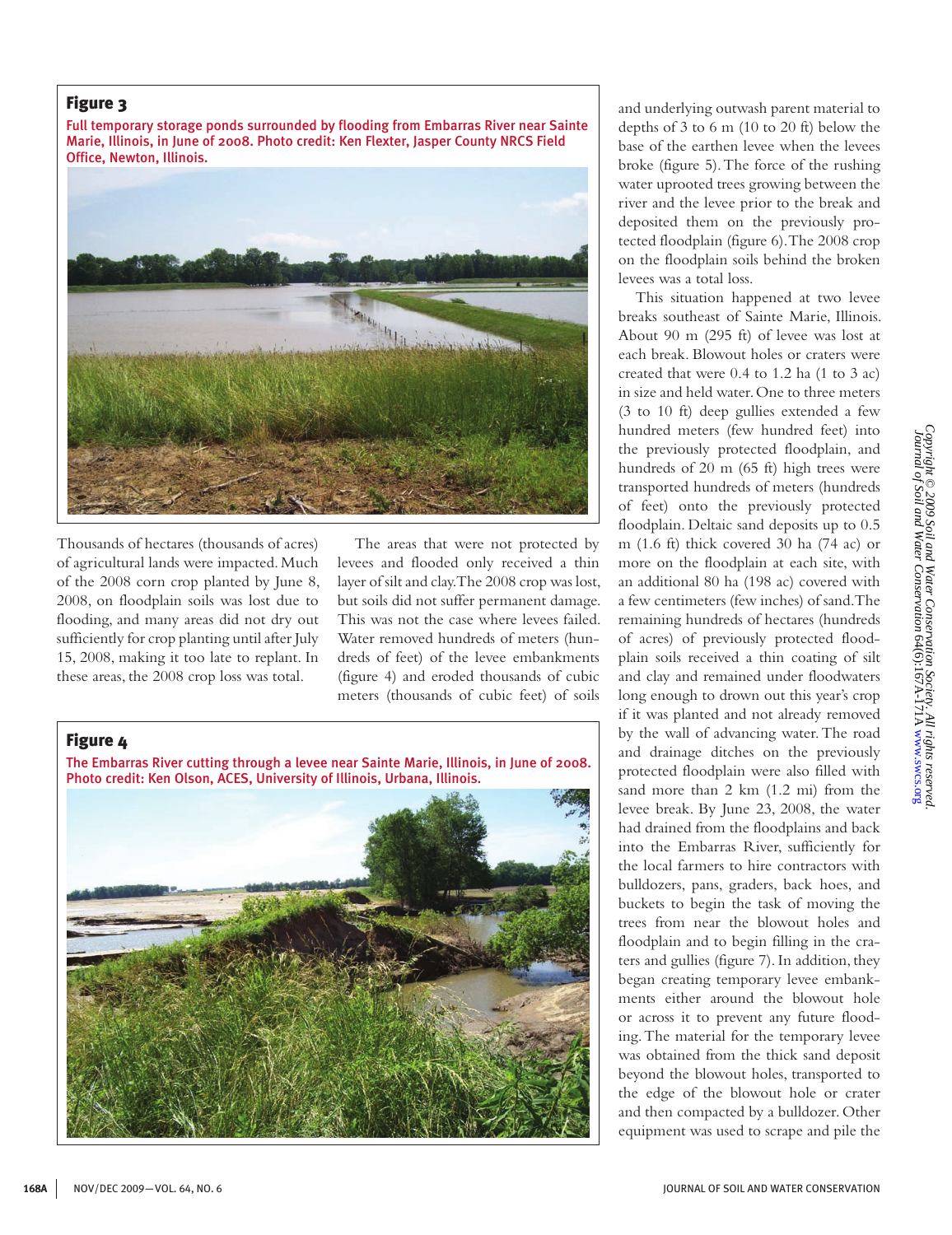## Figure 3

Full temporary storage ponds surrounded by flooding from Embarras River near Sainte Marie, Illinois, in June of 2008. Photo credit: Ken Flexter, Jasper County NRCS Field Office, Newton, Illinois.



Thousands of hectares (thousands of acres) of agricultural lands were impacted. Much of the 2008 corn crop planted by June 8, 2008, on floodplain soils was lost due to flooding, and many areas did not dry out sufficiently for crop planting until after July 15, 2008, making it too late to replant. In these areas, the 2008 crop loss was total.

The areas that were not protected by levees and flooded only received a thin layer of silt and clay. The 2008 crop was lost, but soils did not suffer permanent damage. This was not the case where levees failed. Water removed hundreds of meters (hundreds of feet) of the levee embankments (figure 4) and eroded thousands of cubic meters (thousands of cubic feet) of soils

#### Figure 4

The Embarras River cutting through a levee near Sainte Marie, Illinois, in June of 2008. Photo credit: Ken Olson, ACES, University of Illinois, Urbana, Illinois.



and underlying outwash parent material to depths of 3 to 6 m (10 to 20 ft) below the base of the earthen levee when the levees broke (figure 5). The force of the rushing water uprooted trees growing between the river and the levee prior to the break and deposited them on the previously protected floodplain (figure 6). The 2008 crop on the floodplain soils behind the broken levees was a total loss.

This situation happened at two levee breaks southeast of Sainte Marie, Illinois. About 90 m (295 ft) of levee was lost at each break. Blowout holes or craters were created that were 0.4 to 1.2 ha (1 to 3 ac) in size and held water. One to three meters (3 to 10 ft) deep gullies extended a few hundred meters (few hundred feet) into the previously protected floodplain, and hundreds of 20 m (65 ft) high trees were transported hundreds of meters (hundreds of feet) onto the previously protected floodplain. Deltaic sand deposits up to 0.5 m (1.6 ft) thick covered 30 ha (74 ac) or more on the floodplain at each site, with an additional 80 ha (198 ac) covered with a few centimeters (few inches) of sand. The remaining hundreds of hectares (hundreds of acres) of previously protected floodplain soils received a thin coating of silt and clay and remained under floodwaters long enough to drown out this year's crop if it was planted and not already removed by the wall of advancing water. The road and drainage ditches on the previously protected floodplain were also filled with sand more than 2 km (1.2 mi) from the levee break. By June 23, 2008, the water had drained from the floodplains and back into the Embarras River, sufficiently for the local farmers to hire contractors with bulldozers, pans, graders, back hoes, and buckets to begin the task of moving the trees from near the blowout holes and floodplain and to begin filling in the craters and gullies (figure 7). In addition, they began creating temporary levee embankments either around the blowout hole or across it to prevent any future flooding. The material for the temporary levee was obtained from the thick sand deposit beyond the blowout holes, transported to the edge of the blowout hole or crater and then compacted by a bulldozer. Other equipment was used to scrape and pile the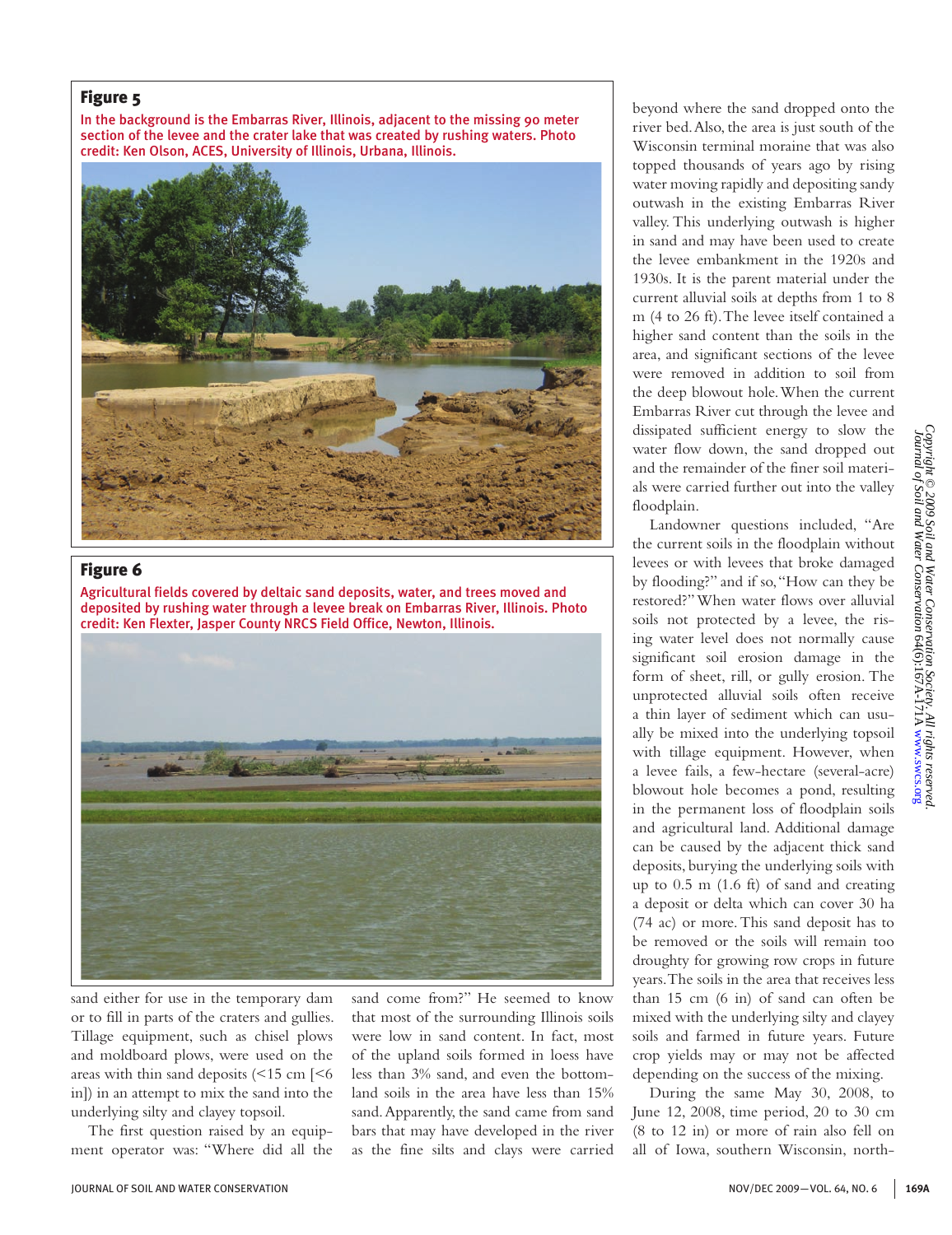#### Figure 5

In the background is the Embarras River, Illinois, adjacent to the missing 90 meter section of the levee and the crater lake that was created by rushing waters. Photo credit: Ken Olson, ACES, University of Illinois, Urbana, Illinois.



## Figure 6

Agricultural fields covered by deltaic sand deposits, water, and trees moved and deposited by rushing water through a levee break on Embarras River, Illinois. Photo credit: Ken Flexter, Jasper County NRCS Field Office, Newton, Illinois.



sand either for use in the temporary dam or to fill in parts of the craters and gullies. Tillage equipment, such as chisel plows and moldboard plows, were used on the areas with thin sand deposits  $\left($  <15 cm  $\right]$  <6 in]) in an attempt to mix the sand into the underlying silty and clayey topsoil.

The first question raised by an equipment operator was: "Where did all the sand come from?" He seemed to know that most of the surrounding Illinois soils were low in sand content. In fact, most of the upland soils formed in loess have less than 3% sand, and even the bottomland soils in the area have less than 15% sand. Apparently, the sand came from sand bars that may have developed in the river as the fine silts and clays were carried

beyond where the sand dropped onto the river bed. Also, the area is just south of the Wisconsin terminal moraine that was also topped thousands of years ago by rising water moving rapidly and depositing sandy outwash in the existing Embarras River valley. This underlying outwash is higher in sand and may have been used to create the levee embankment in the 1920s and 1930s. It is the parent material under the current alluvial soils at depths from 1 to 8 m (4 to 26 ft). The levee itself contained a higher sand content than the soils in the area, and significant sections of the levee were removed in addition to soil from the deep blowout hole. When the current Embarras River cut through the levee and dissipated sufficient energy to slow the water flow down, the sand dropped out and the remainder of the finer soil materials were carried further out into the valley floodplain.

Landowner questions included, "Are the current soils in the floodplain without levees or with levees that broke damaged by flooding?" and if so, "How can they be restored?" When water flows over alluvial soils not protected by a levee, the rising water level does not normally cause significant soil erosion damage in the form of sheet, rill, or gully erosion. The unprotected alluvial soils often receive a thin layer of sediment which can usually be mixed into the underlying topsoil with tillage equipment. However, when a levee fails, a few-hectare (several-acre) blowout hole becomes a pond, resulting in the permanent loss of floodplain soils and agricultural land. Additional damage can be caused by the adjacent thick sand deposits, burying the underlying soils with up to 0.5 m (1.6 ft) of sand and creating a deposit or delta which can cover 30 ha (74 ac) or more. This sand deposit has to be removed or the soils will remain too droughty for growing row crops in future years. The soils in the area that receives less than 15 cm (6 in) of sand can often be mixed with the underlying silty and clayey soils and farmed in future years. Future crop yields may or may not be affected depending on the success of the mixing.

During the same May 30, 2008, to June 12, 2008, time period, 20 to 30 cm (8 to 12 in) or more of rain also fell on all of Iowa, southern Wisconsin, north-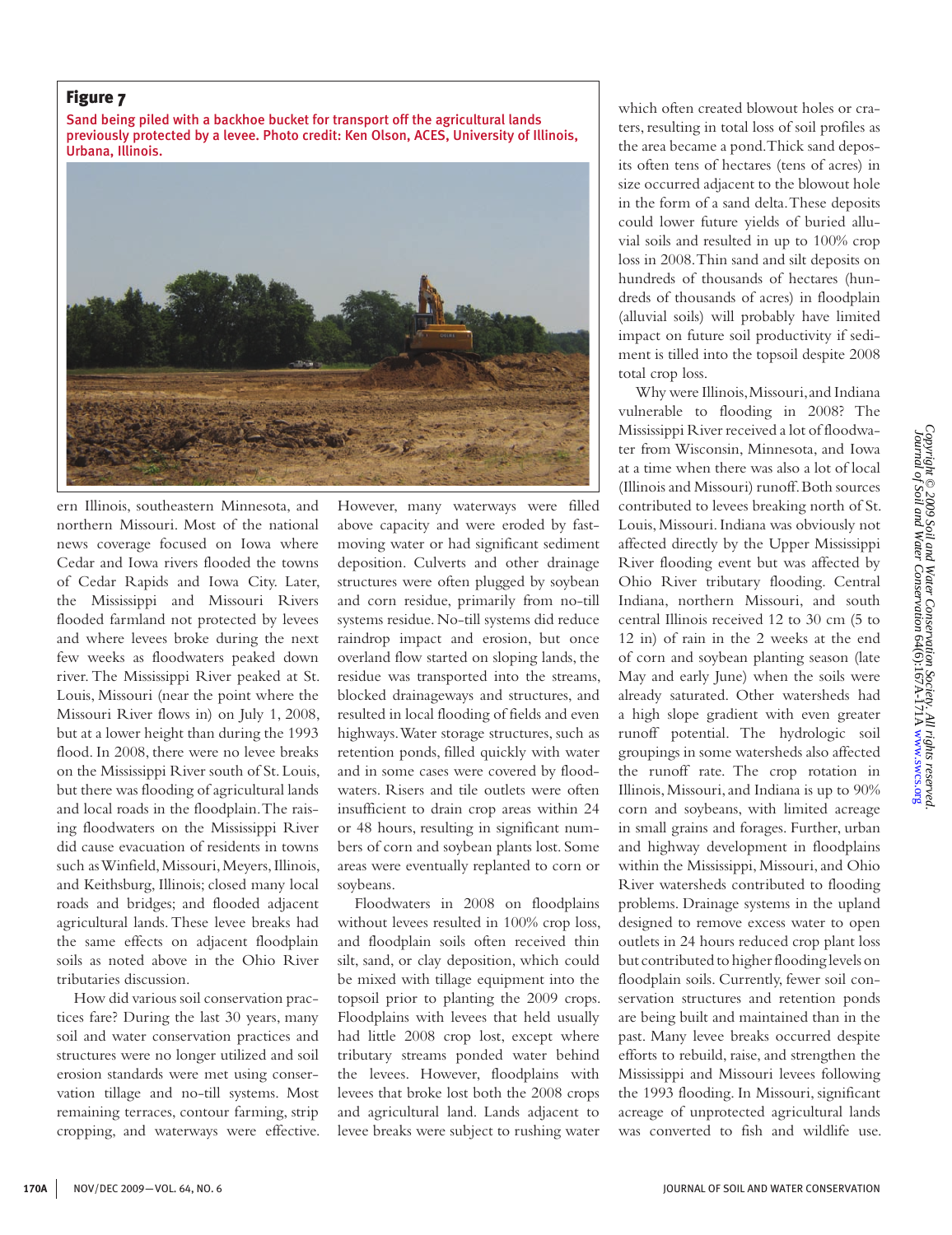#### Figure 7

Sand being piled with a backhoe bucket for transport off the agricultural lands previously protected by a levee. Photo credit: Ken Olson, ACES, University of Illinois, Urbana, Illinois.



ern Illinois, southeastern Minnesota, and northern Missouri. Most of the national news coverage focused on Iowa where Cedar and Iowa rivers flooded the towns of Cedar Rapids and Iowa City. Later, the Mississippi and Missouri Rivers flooded farmland not protected by levees and where levees broke during the next few weeks as floodwaters peaked down river. The Mississippi River peaked at St. Louis, Missouri (near the point where the Missouri River flows in) on July 1, 2008, but at a lower height than during the 1993 flood. In 2008, there were no levee breaks on the Mississippi River south of St. Louis, but there was flooding of agricultural lands and local roads in the floodplain. The raising floodwaters on the Mississippi River did cause evacuation of residents in towns such as Winfield, Missouri, Meyers, Illinois, and Keithsburg, Illinois; closed many local roads and bridges; and flooded adjacent agricultural lands. These levee breaks had the same effects on adjacent floodplain soils as noted above in the Ohio River tributaries discussion.

How did various soil conservation practices fare? During the last 30 years, many soil and water conservation practices and structures were no longer utilized and soil erosion standards were met using conservation tillage and no-till systems. Most remaining terraces, contour farming, strip cropping, and waterways were effective. However, many waterways were filled above capacity and were eroded by fastmoving water or had significant sediment deposition. Culverts and other drainage structures were often plugged by soybean and corn residue, primarily from no-till systems residue. No-till systems did reduce raindrop impact and erosion, but once overland flow started on sloping lands, the residue was transported into the streams, blocked drainageways and structures, and resulted in local flooding of fields and even highways. Water storage structures, such as retention ponds, filled quickly with water and in some cases were covered by floodwaters. Risers and tile outlets were often insufficient to drain crop areas within 24 or 48 hours, resulting in significant numbers of corn and soybean plants lost. Some areas were eventually replanted to corn or soybeans.

Floodwaters in 2008 on floodplains without levees resulted in 100% crop loss, and floodplain soils often received thin silt, sand, or clay deposition, which could be mixed with tillage equipment into the topsoil prior to planting the 2009 crops. Floodplains with levees that held usually had little 2008 crop lost, except where tributary streams ponded water behind the levees. However, floodplains with levees that broke lost both the 2008 crops and agricultural land. Lands adjacent to levee breaks were subject to rushing water

which often created blowout holes or craters, resulting in total loss of soil profiles as the area became a pond. Thick sand deposits often tens of hectares (tens of acres) in size occurred adjacent to the blowout hole in the form of a sand delta. These deposits could lower future yields of buried alluvial soils and resulted in up to 100% crop loss in 2008. Thin sand and silt deposits on hundreds of thousands of hectares (hundreds of thousands of acres) in floodplain (alluvial soils) will probably have limited impact on future soil productivity if sediment is tilled into the topsoil despite 2008 total crop loss.

Why were Illinois, Missouri, and Indiana vulnerable to flooding in 2008? The Mississippi River received a lot of floodwater from Wisconsin, Minnesota, and Iowa at a time when there was also a lot of local (Illinois and Missouri) runoff. Both sources contributed to levees breaking north of St. Louis, Missouri. Indiana was obviously not affected directly by the Upper Mississippi River flooding event but was affected by Ohio River tributary flooding. Central Indiana, northern Missouri, and south central Illinois received 12 to 30 cm (5 to 12 in) of rain in the 2 weeks at the end of corn and soybean planting season (late May and early June) when the soils were already saturated. Other watersheds had a high slope gradient with even greater runoff potential. The hydrologic soil groupings in some watersheds also affected the runoff rate. The crop rotation in Illinois, Missouri, and Indiana is up to 90% corn and soybeans, with limited acreage in small grains and forages. Further, urban and highway development in floodplains within the Mississippi, Missouri, and Ohio River watersheds contributed to flooding problems. Drainage systems in the upland designed to remove excess water to open outlets in 24 hours reduced crop plant loss but contributed to higher flooding levels on floodplain soils. Currently, fewer soil conservation structures and retention ponds are being built and maintained than in the past. Many levee breaks occurred despite efforts to rebuild, raise, and strengthen the Mississippi and Missouri levees following the 1993 flooding. In Missouri, significant acreage of unprotected agricultural lands was converted to fish and wildlife use.